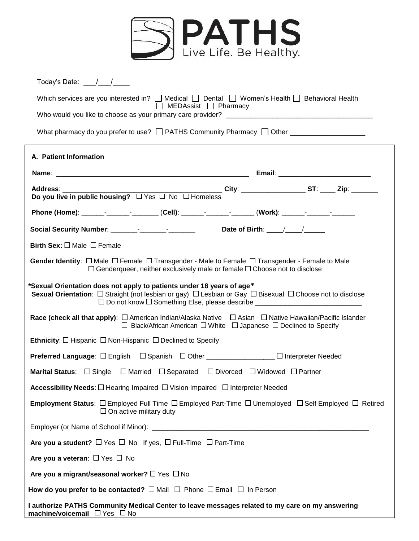

| Today's Date: $\frac{1}{2}$ /                                                                                                                                                                                                                                         |
|-----------------------------------------------------------------------------------------------------------------------------------------------------------------------------------------------------------------------------------------------------------------------|
| Which services are you interested in? $\Box$ Medical $\Box$ Dental $\Box$ Women's Health $\Box$ Behavioral Health<br>$\Box$ MEDAssist $\Box$ Pharmacy                                                                                                                 |
|                                                                                                                                                                                                                                                                       |
| What pharmacy do you prefer to use? $\Box$ PATHS Community Pharmacy $\Box$ Other _______________________                                                                                                                                                              |
| A. Patient Information                                                                                                                                                                                                                                                |
|                                                                                                                                                                                                                                                                       |
|                                                                                                                                                                                                                                                                       |
| Phone (Home): _________________________(Cell): _____________________(Work): ________________________                                                                                                                                                                  |
|                                                                                                                                                                                                                                                                       |
| Birth Sex: $\square$ Male $\square$ Female                                                                                                                                                                                                                            |
| Gender Identity: $\Box$ Male $\Box$ Female $\Box$ Transgender - Male to Female $\Box$ Transgender - Female to Male<br>$\Box$ Genderqueer, neither exclusively male or female $\Box$ Choose not to disclose                                                            |
| *Sexual Orientation does not apply to patients under 18 years of age*<br>Sexual Orientation: □ Straight (not lesbian or gay) □ Lesbian or Gay □ Bisexual □ Choose not to disclose<br>□ Do not know □ Something Else, please describe ________________________________ |
| Race (check all that apply): □ American Indian/Alaska Native □ Asian □ Native Hawaiian/Pacific Islander<br>$\Box$ Black/African American $\Box$ White $\Box$ Japanese $\Box$ Declined to Specify                                                                      |
| Ethnicity: $\Box$ Hispanic $\Box$ Non-Hispanic $\Box$ Declined to Specify                                                                                                                                                                                             |
| Preferred Language: □ English □ Spanish □ Other _______________ □ Interpreter Needed                                                                                                                                                                                  |
| Marital Status: $\Box$ Single $\Box$ Married $\Box$ Separated $\Box$ Divorced $\Box$ Widowed $\Box$ Partner                                                                                                                                                           |
| <b>Accessibility Needs:</b> $\square$ Hearing Impaired $\square$ Vision Impaired $\square$ Interpreter Needed                                                                                                                                                         |
| <b>Employment Status</b> : $\square$ Employed Full Time $\square$ Employed Part-Time $\square$ Unemployed $\square$ Self Employed $\square$ Retired<br>$\Box$ On active military duty                                                                                 |
|                                                                                                                                                                                                                                                                       |
| Are you a student? $\Box$ Yes $\Box$ No If yes, $\Box$ Full-Time $\Box$ Part-Time                                                                                                                                                                                     |
| Are you a veteran: $\Box$ Yes $\Box$ No                                                                                                                                                                                                                               |
| Are you a migrant/seasonal worker? $\square$ Yes $\square$ No                                                                                                                                                                                                         |
| How do you prefer to be contacted? $\square$ Mail $\square$ Phone $\square$ Email $\square$ In Person                                                                                                                                                                 |
| I authorize PATHS Community Medical Center to leave messages related to my care on my answering<br>machine/voicemail □ Yes □ No                                                                                                                                       |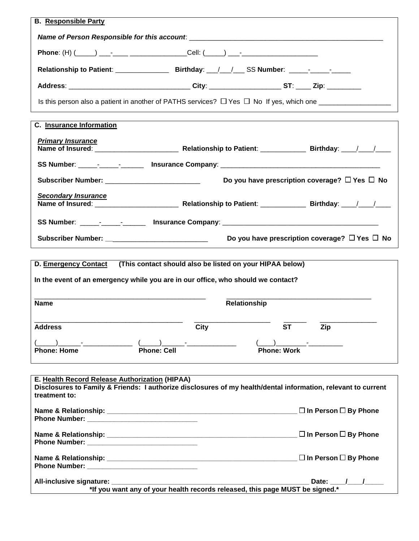| <b>B.</b> Responsible Party                                                                                                    |             |      |                                                                              |                                                         |
|--------------------------------------------------------------------------------------------------------------------------------|-------------|------|------------------------------------------------------------------------------|---------------------------------------------------------|
|                                                                                                                                |             |      |                                                                              |                                                         |
| Phone: (H) (_____) ___--____ ________________Cell: (_____) ___-_________________                                               |             |      |                                                                              |                                                         |
|                                                                                                                                |             |      |                                                                              |                                                         |
| Address: _________________________________City: ____________________ST: _____ Zip: __________                                  |             |      |                                                                              |                                                         |
| Is this person also a patient in another of PATHS services? $\Box$ Yes $\Box$ No If yes, which one                             |             |      |                                                                              |                                                         |
|                                                                                                                                |             |      |                                                                              |                                                         |
| <b>C.</b> Insurance Information                                                                                                |             |      |                                                                              |                                                         |
| <b>Primary Insurance</b>                                                                                                       |             |      |                                                                              |                                                         |
|                                                                                                                                |             |      |                                                                              |                                                         |
|                                                                                                                                |             |      |                                                                              |                                                         |
| Subscriber Number: ____________________________                                                                                |             |      |                                                                              | Do you have prescription coverage? $\Box$ Yes $\Box$ No |
| <b>Secondary Insurance</b>                                                                                                     |             |      |                                                                              |                                                         |
|                                                                                                                                |             |      |                                                                              |                                                         |
| SS Number: _____-________________ Insurance Company: ____________________________                                              |             |      |                                                                              |                                                         |
|                                                                                                                                |             |      |                                                                              | Do you have prescription coverage? $\Box$ Yes $\Box$ No |
|                                                                                                                                |             |      |                                                                              |                                                         |
| D. Emergency Contact                                                                                                           |             |      | (This contact should also be listed on your HIPAA below)                     |                                                         |
| In the event of an emergency while you are in our office, who should we contact?                                               |             |      |                                                                              |                                                         |
|                                                                                                                                |             |      |                                                                              |                                                         |
| <b>Name</b>                                                                                                                    |             |      | <b>Relationship</b>                                                          |                                                         |
| <b>Address</b>                                                                                                                 |             | City | <b>ST</b>                                                                    | Zip                                                     |
|                                                                                                                                |             |      |                                                                              |                                                         |
| <b>Phone: Home</b>                                                                                                             | Phone: Cell |      | <b>Phone: Work</b>                                                           |                                                         |
|                                                                                                                                |             |      |                                                                              |                                                         |
| E. Health Record Release Authorization (HIPAA)                                                                                 |             |      |                                                                              |                                                         |
| Disclosures to Family & Friends: I authorize disclosures of my health/dental information, relevant to current<br>treatment to: |             |      |                                                                              |                                                         |
|                                                                                                                                |             |      |                                                                              |                                                         |
|                                                                                                                                |             |      |                                                                              |                                                         |
|                                                                                                                                |             |      |                                                                              |                                                         |
|                                                                                                                                |             |      |                                                                              |                                                         |
|                                                                                                                                |             |      |                                                                              |                                                         |
|                                                                                                                                |             |      |                                                                              |                                                         |
| All-inclusive signature: _________                                                                                             |             |      | *If you want any of your health records released, this page MUST be signed.* | Date: $\frac{1}{\sqrt{2}}$                              |